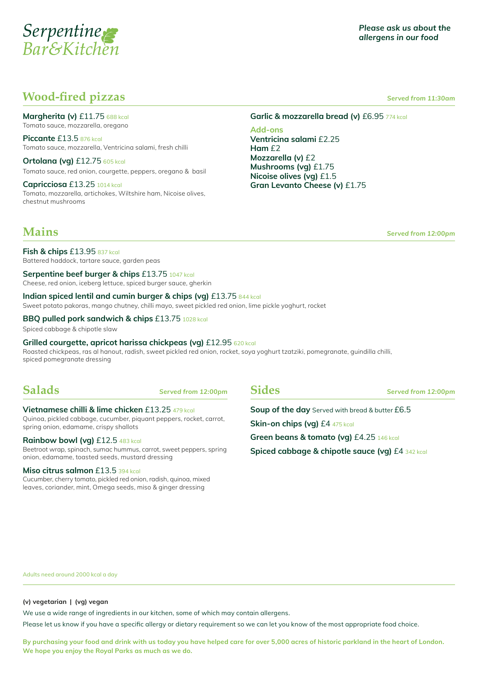

## **Wood-fired pizzas** *Served from 11:30am*

**Margherita (v)** £11.75 688 kcal Tomato sauce, mozzarella, oregano

**Piccante** £13.5 876 kcal Tomato sauce, mozzarella, Ventricina salami, fresh chilli

**Ortolana (vg)** £12.75 605 kcal Tomato sauce, red onion, courgette, peppers, oregano & basil

**Capricciosa** £13.25 1014 kcal Tomato, mozzarella, artichokes, Wiltshire ham, Nicoise olives, chestnut mushrooms

Garlic & mozzarella bread (v) £6.95 774 kcal

**Add-ons Ventricina salami** £2.25 **Ham** £2 **Mozzarella (v)** £2 **Mushrooms (vg)** £1.75 **Nicoise olives (vg)** £1.5 **Gran Levanto Cheese (v)** £1.75

**Mains Served from 12:00pm** 

**Fish & chips** £13.95 837 kcal Battered haddock, tartare sauce, garden peas

**Serpentine beef burger & chips** £13.75 1047 kcal

Cheese, red onion, iceberg lettuce, spiced burger sauce, gherkin

#### **Indian spiced lentil and cumin burger & chips (vg)** £13.75 844 kcal

Sweet potato pakoras, mango chutney, chilli mayo, sweet pickled red onion, lime pickle yoghurt, rocket

#### **BBQ pulled pork sandwich & chips** £13.75 1028 kcal

Spiced cabbage & chipotle slaw

#### **Grilled courgette, apricot harissa chickpeas (vg)** £12.95 620 kcal

Roasted chickpeas, ras al hanout, radish, sweet pickled red onion, rocket, soya yoghurt tzatziki, pomegranate, guindilla chilli, spiced pomegranate dressing

**Salads** *Served from 12:00pm*

#### **Vietnamese chilli & lime chicken** £13.25 479 kcal

Quinoa, pickled cabbage, cucumber, piquant peppers, rocket, carrot, spring onion, edamame, crispy shallots

#### **Rainbow bowl (vg)** £12.5 483 kcal

Beetroot wrap, spinach, sumac hummus, carrot, sweet peppers, spring onion, edamame, toasted seeds, mustard dressing

#### **Miso citrus salmon** £13.5 394 kcal

Cucumber, cherry tomato, pickled red onion, radish, quinoa, mixed leaves, coriander, mint, Omega seeds, miso & ginger dressing

**Sides** *Served from 12:00pm*

**Soup of the day** Served with bread & butter £6.5 **Skin-on chips (vg)** £4 475 kcal **Green beans & tomato (vg)** £4.25 146 kcal **Spiced cabbage & chipotle sauce (vg)** £4 342 kcal

Adults need around 2000 kcal a day

#### **(v) vegetarian | (vg) vegan**

We use a wide range of ingredients in our kitchen, some of which may contain allergens.

Please let us know if you have a specific allergy or dietary requirement so we can let you know of the most appropriate food choice.

**By purchasing your food and drink with us today you have helped care for over 5,000 acres of historic parkland in the heart of London. We hope you enjoy the Royal Parks as much as we do.**